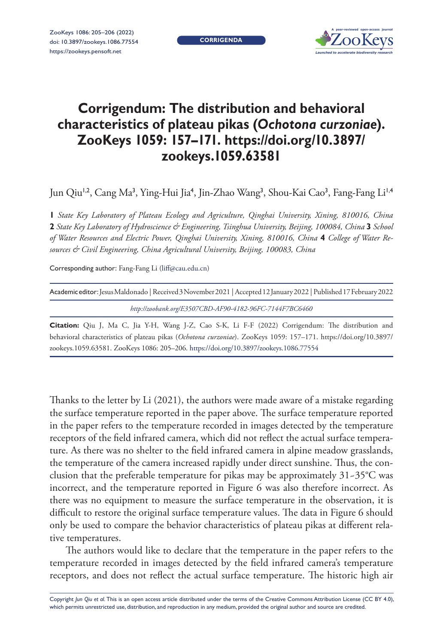**CORRIGENDA**



## **Corrigendum: The distribution and behavioral characteristics of plateau pikas (***Ochotona curzoniae***). ZooKeys 1059: 157–171. [https://doi.org/10.3897/](https://doi.org/10.3897/zookeys.1059.63581) [zookeys.1059.63581](https://doi.org/10.3897/zookeys.1059.63581)**

Jun Qiu<sup>1,2</sup>, Cang Ma<sup>3</sup>, Ying-Hui Jia<sup>4</sup>, Jin-Zhao Wang<sup>3</sup>, Shou-Kai Cao<sup>3</sup>, Fang-Fang Li<sup>1,4</sup>

**1** *State Key Laboratory of Plateau Ecology and Agriculture, Qinghai University, Xining, 810016, China*  **2** *State Key Laboratory of Hydroscience & Engineering, Tsinghua University, Beijing, 100084, China* **3** *School of Water Resources and Electric Power, Qinghai University, Xining, 810016, China* **4** *College of Water Resources & Civil Engineering, China Agricultural University, Beijing, 100083, China*

Corresponding author: Fang-Fang Li ([liff@cau.edu.cn\)](mailto:liff@cau.edu.cn)

| Academic editor: Jesus Maldonado   Received 3 November 2021   Accepted 12 January 2022   Published 17 February 2022 |  |  |  |  |  |  |  |  |  |  |                                                                                                    |  |  |  |
|---------------------------------------------------------------------------------------------------------------------|--|--|--|--|--|--|--|--|--|--|----------------------------------------------------------------------------------------------------|--|--|--|
| http://zoobank.org/E3507CBD-AF90-4182-96FC-7144F7BC6460                                                             |  |  |  |  |  |  |  |  |  |  |                                                                                                    |  |  |  |
|                                                                                                                     |  |  |  |  |  |  |  |  |  |  | Citation: Qiu J, Ma C, Jia Y-H, Wang J-Z, Cao S-K, Li F-F (2022) Corrigendum: The distribution and |  |  |  |
|                                                                                                                     |  |  |  |  |  |  |  |  |  |  |                                                                                                    |  |  |  |

behavioral characteristics of plateau pikas (*Ochotona curzoniae*). ZooKeys 1059: 157–171. [https://doi.org/10.3897/](https://doi.org/10.3897/zookeys.1059.63581) [zookeys.1059.63581](https://doi.org/10.3897/zookeys.1059.63581). ZooKeys 1086: 205–206.<https://doi.org/10.3897/zookeys.1086.77554>

Thanks to the letter by Li (2021), the authors were made aware of a mistake regarding the surface temperature reported in the paper above. The surface temperature reported in the paper refers to the temperature recorded in images detected by the temperature receptors of the field infrared camera, which did not reflect the actual surface temperature. As there was no shelter to the field infrared camera in alpine meadow grasslands, the temperature of the camera increased rapidly under direct sunshine. Thus, the conclusion that the preferable temperature for pikas may be approximately 31~35°C was incorrect, and the temperature reported in Figure 6 was also therefore incorrect. As there was no equipment to measure the surface temperature in the observation, it is difficult to restore the original surface temperature values. The data in Figure 6 should only be used to compare the behavior characteristics of plateau pikas at different relative temperatures.

The authors would like to declare that the temperature in the paper refers to the temperature recorded in images detected by the field infrared camera's temperature receptors, and does not reflect the actual surface temperature. The historic high air

Copyright *Jun Qiu et al.* This is an open access article distributed under the terms of the [Creative Commons Attribution License \(CC BY 4.0\),](http://creativecommons.org/licenses/by/4.0/) which permits unrestricted use, distribution, and reproduction in any medium, provided the original author and source are credited.